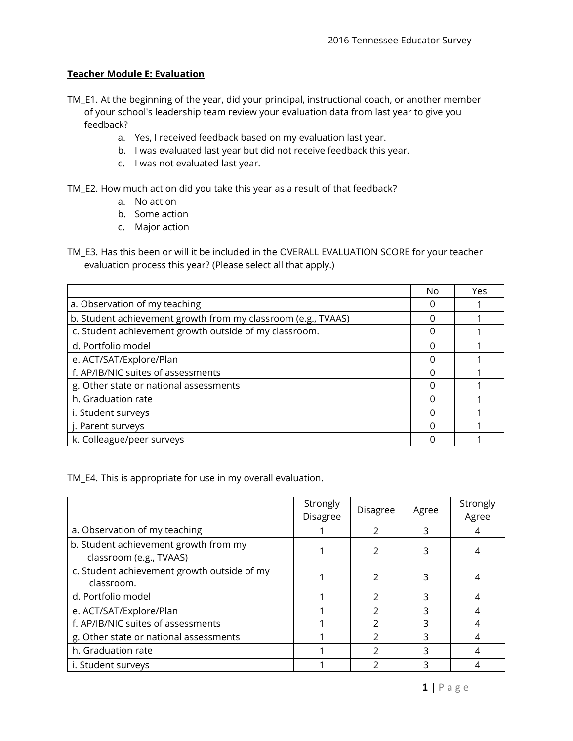## **Teacher Module E: Evaluation**

- TM\_E1. At the beginning of the year, did your principal, instructional coach, or another member of your school's leadership team review your evaluation data from last year to give you feedback?
	- a. Yes, I received feedback based on my evaluation last year.
	- b. I was evaluated last year but did not receive feedback this year.
	- c. I was not evaluated last year.

TM\_E2. How much action did you take this year as a result of that feedback?

- a. No action
- b. Some action
- c. Major action

TM\_E3. Has this been or will it be included in the OVERALL EVALUATION SCORE for your teacher evaluation process this year? (Please select all that apply.)

|                                                               | No | Yes |
|---------------------------------------------------------------|----|-----|
| a. Observation of my teaching                                 |    |     |
| b. Student achievement growth from my classroom (e.g., TVAAS) |    |     |
| c. Student achievement growth outside of my classroom.        | ∩  |     |
| d. Portfolio model                                            | O  |     |
| e. ACT/SAT/Explore/Plan                                       | ∩  |     |
| f. AP/IB/NIC suites of assessments                            | ∩  |     |
| g. Other state or national assessments                        | ∩  |     |
| h. Graduation rate                                            | ∩  |     |
| i. Student surveys                                            | ∩  |     |
| j. Parent surveys                                             | ∩  |     |
| k. Colleague/peer surveys                                     |    |     |

TM\_E4. This is appropriate for use in my overall evaluation.

|                                                                  | Strongly<br><b>Disagree</b> | <b>Disagree</b> | Agree | Strongly<br>Agree |
|------------------------------------------------------------------|-----------------------------|-----------------|-------|-------------------|
| a. Observation of my teaching                                    |                             |                 |       |                   |
| b. Student achievement growth from my<br>classroom (e.g., TVAAS) |                             |                 |       |                   |
| c. Student achievement growth outside of my<br>classroom.        |                             |                 |       |                   |
| d. Portfolio model                                               |                             | $\mathcal{P}$   | 3     |                   |
| e. ACT/SAT/Explore/Plan                                          |                             | $\mathcal{P}$   | 3     |                   |
| f. AP/IB/NIC suites of assessments                               |                             | $\mathcal{P}$   |       | 4                 |
| g. Other state or national assessments                           |                             |                 |       |                   |
| h. Graduation rate                                               |                             |                 |       |                   |
| i. Student surveys                                               |                             |                 |       |                   |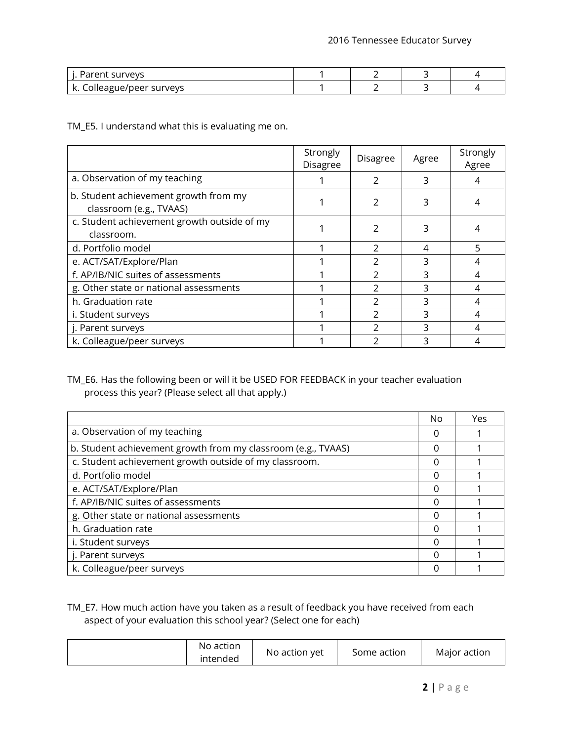| survevs                |  |  |
|------------------------|--|--|
| Je/peer survevs<br>$-$ |  |  |

TM\_E5. I understand what this is evaluating me on.

|                                                                  | Strongly<br><b>Disagree</b> | Disagree       | Agree | Strongly<br>Agree |
|------------------------------------------------------------------|-----------------------------|----------------|-------|-------------------|
| a. Observation of my teaching                                    |                             | $\mathfrak{D}$ | 3     |                   |
| b. Student achievement growth from my<br>classroom (e.g., TVAAS) |                             | $\mathcal{P}$  |       |                   |
| c. Student achievement growth outside of my<br>classroom.        |                             | $\mathcal{P}$  |       |                   |
| d. Portfolio model                                               |                             | $\mathcal{P}$  | 4     | 5                 |
| e. ACT/SAT/Explore/Plan                                          |                             | フ              | ς     | 4                 |
| f. AP/IB/NIC suites of assessments                               |                             | $\mathcal{P}$  | 3     | 4                 |
| g. Other state or national assessments                           |                             | $\mathfrak{D}$ | ς     | 4                 |
| h. Graduation rate                                               |                             | 2              |       |                   |
| i. Student surveys                                               |                             | $\mathcal{P}$  | 3     | 4                 |
| j. Parent surveys                                                |                             | C              | っ     | 4                 |
| k. Colleague/peer surveys                                        |                             |                | ੨     | 4                 |

## TM\_E6. Has the following been or will it be USED FOR FEEDBACK in your teacher evaluation process this year? (Please select all that apply.)

|                                                               | No     | Yes |
|---------------------------------------------------------------|--------|-----|
| a. Observation of my teaching                                 | $\Box$ |     |
| b. Student achievement growth from my classroom (e.g., TVAAS) |        |     |
| c. Student achievement growth outside of my classroom.        |        |     |
| d. Portfolio model                                            |        |     |
| e. ACT/SAT/Explore/Plan                                       |        |     |
| f. AP/IB/NIC suites of assessments                            |        |     |
| g. Other state or national assessments                        |        |     |
| h. Graduation rate                                            |        |     |
| i. Student surveys                                            |        |     |
| j. Parent surveys                                             |        |     |
| k. Colleague/peer surveys                                     |        |     |

TM\_E7. How much action have you taken as a result of feedback you have received from each aspect of your evaluation this school year? (Select one for each)

| No action<br>Major action<br>Some action<br>No action yet<br>intended |  |
|-----------------------------------------------------------------------|--|
|-----------------------------------------------------------------------|--|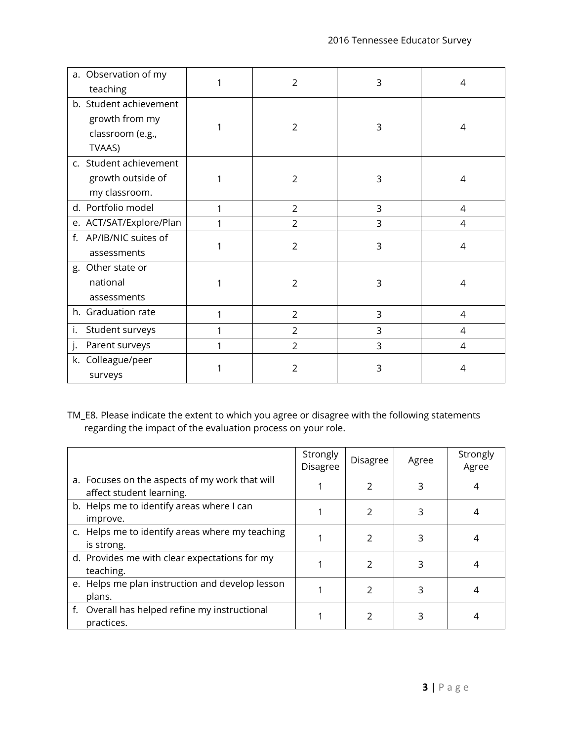| a. Observation of my    | $\overline{2}$ | 3 | 4              |
|-------------------------|----------------|---|----------------|
| teaching                |                |   |                |
| b. Student achievement  |                |   |                |
| growth from my          | $\overline{2}$ | 3 | 4              |
| classroom (e.g.,        |                |   |                |
| TVAAS)                  |                |   |                |
| c. Student achievement  |                |   |                |
| growth outside of       | $\overline{2}$ | 3 | 4              |
| my classroom.           |                |   |                |
| d. Portfolio model      | $\overline{2}$ | 3 | $\overline{4}$ |
| e. ACT/SAT/Explore/Plan | $\overline{2}$ | 3 | 4              |
| f. AP/IB/NIC suites of  | $\overline{2}$ | 3 |                |
| assessments             |                |   | $\overline{4}$ |
| g. Other state or       |                |   |                |
| national                | $\overline{2}$ | 3 | 4              |
| assessments             |                |   |                |
| h. Graduation rate      | $\overline{2}$ | 3 | 4              |
| i.<br>Student surveys   | $\overline{2}$ | 3 | 4              |
| j.<br>Parent surveys    | $\overline{2}$ | 3 | 4              |
| k. Colleague/peer       |                |   |                |
| surveys                 | $\overline{2}$ | 3 | 4              |

TM\_E8. Please indicate the extent to which you agree or disagree with the following statements regarding the impact of the evaluation process on your role.

|                                                                            | Strongly<br><b>Disagree</b> | <b>Disagree</b> | Agree | Strongly<br>Agree |
|----------------------------------------------------------------------------|-----------------------------|-----------------|-------|-------------------|
| a. Focuses on the aspects of my work that will<br>affect student learning. |                             |                 | 3     |                   |
| b. Helps me to identify areas where I can<br>improve.                      |                             |                 |       |                   |
| c. Helps me to identify areas where my teaching<br>is strong.              |                             | 2               | 3     |                   |
| d. Provides me with clear expectations for my<br>teaching.                 |                             | 2               | 3     |                   |
| e. Helps me plan instruction and develop lesson<br>plans.                  |                             |                 |       |                   |
| f. Overall has helped refine my instructional<br>practices.                |                             |                 |       |                   |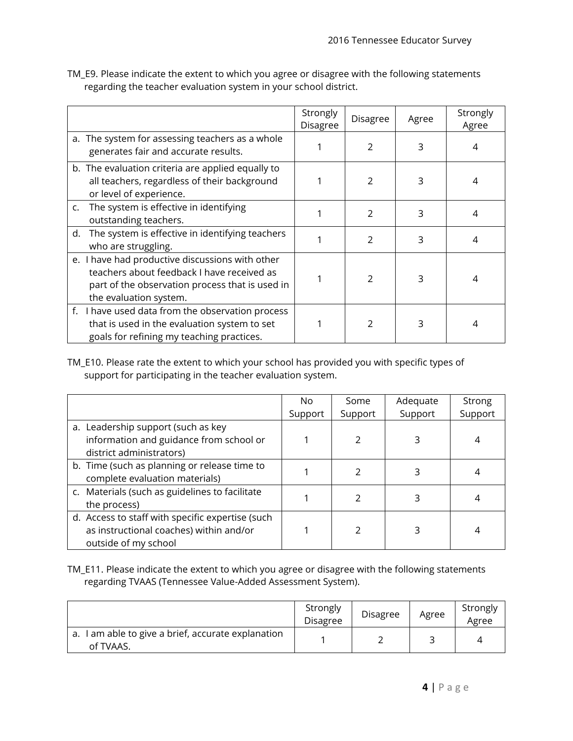TM\_E9. Please indicate the extent to which you agree or disagree with the following statements regarding the teacher evaluation system in your school district.

|                                                                                                                                                                            | Strongly<br>Disagree | Disagree      | Agree | Strongly<br>Agree |
|----------------------------------------------------------------------------------------------------------------------------------------------------------------------------|----------------------|---------------|-------|-------------------|
| a. The system for assessing teachers as a whole<br>generates fair and accurate results.                                                                                    |                      | 2             | 3     |                   |
| b. The evaluation criteria are applied equally to<br>all teachers, regardless of their background<br>or level of experience.                                               |                      | 2             | 3     |                   |
| The system is effective in identifying<br>C.<br>outstanding teachers.                                                                                                      |                      | $\mathcal{P}$ | 3     | 4                 |
| The system is effective in identifying teachers<br>d.<br>who are struggling.                                                                                               |                      | $\mathcal{P}$ | 3     | 4                 |
| e. I have had productive discussions with other<br>teachers about feedback I have received as<br>part of the observation process that is used in<br>the evaluation system. |                      | $\mathcal{P}$ | 3     | 4                 |
| f. I have used data from the observation process<br>that is used in the evaluation system to set<br>goals for refining my teaching practices.                              |                      | <sup>2</sup>  | 3     |                   |

TM\_E10. Please rate the extent to which your school has provided you with specific types of support for participating in the teacher evaluation system.

|                                                  | No.     | Some         | Adequate | <b>Strong</b> |
|--------------------------------------------------|---------|--------------|----------|---------------|
|                                                  | Support | Support      | Support  | Support       |
| a. Leadership support (such as key               |         |              |          |               |
| information and guidance from school or          |         |              |          |               |
| district administrators)                         |         |              |          |               |
| b. Time (such as planning or release time to     |         |              |          |               |
| complete evaluation materials)                   |         |              |          |               |
| c. Materials (such as guidelines to facilitate   |         |              |          |               |
| the process)                                     |         |              |          |               |
| d. Access to staff with specific expertise (such |         |              |          |               |
| as instructional coaches) within and/or          |         | <sup>2</sup> |          |               |
| outside of my school                             |         |              |          |               |

TM\_E11. Please indicate the extent to which you agree or disagree with the following statements regarding TVAAS (Tennessee Value-Added Assessment System).

|                                                                 | Strongly<br>Disagree | <b>Disagree</b> | Agree | Strongly<br>Agree |
|-----------------------------------------------------------------|----------------------|-----------------|-------|-------------------|
| a. I am able to give a brief, accurate explanation<br>of TVAAS. |                      |                 |       | Δ                 |